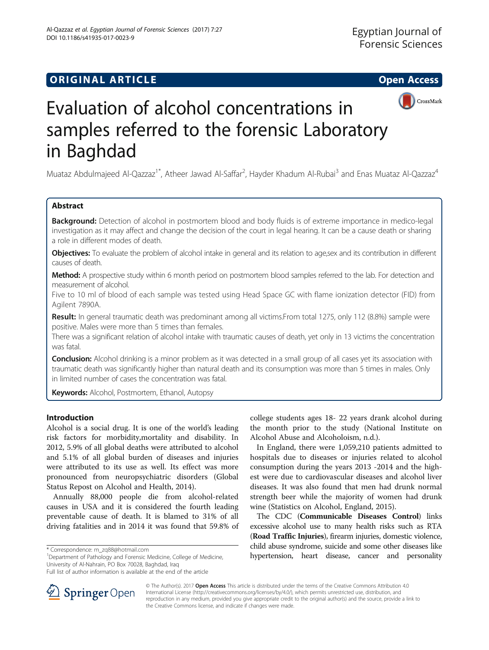## **ORIGINAL ARTICLE CONSUMING A LIGACION** CONSUMING A LIGACION CONSUMING A LIGACION CONSUMING A LIGACION CONSUMING A LIGACION CONSUMING A LIGACION CONSUMING A LIGACION CONSUMING A LIGACION CONSUMING A LIGACION CONSUMING A





# Evaluation of alcohol concentrations in samples referred to the forensic Laboratory in Baghdad

Muataz Abdulmajeed Al-Qazzaz<sup>1\*</sup>, Atheer Jawad Al-Saffar<sup>2</sup>, Hayder Khadum Al-Rubai<sup>3</sup> and Enas Muataz Al-Qazzaz<sup>4</sup>

## Abstract

Background: Detection of alcohol in postmortem blood and body fluids is of extreme importance in medico-legal investigation as it may affect and change the decision of the court in legal hearing. It can be a cause death or sharing a role in different modes of death.

Objectives: To evaluate the problem of alcohol intake in general and its relation to age, sex and its contribution in different causes of death.

Method: A prospective study within 6 month period on postmortem blood samples referred to the lab. For detection and measurement of alcohol.

Five to 10 ml of blood of each sample was tested using Head Space GC with flame ionization detector (FID) from Agilent 7890A.

Result: In general traumatic death was predominant among all victims. From total 1275, only 112 (8.8%) sample were positive. Males were more than 5 times than females.

There was a significant relation of alcohol intake with traumatic causes of death, yet only in 13 victims the concentration was fatal.

**Conclusion:** Alcohol drinking is a minor problem as it was detected in a small group of all cases yet its association with traumatic death was significantly higher than natural death and its consumption was more than 5 times in males. Only in limited number of cases the concentration was fatal.

Keywords: Alcohol, Postmortem, Ethanol, Autopsy

## Introduction

Alcohol is a social drug. It is one of the world's leading risk factors for morbidity,mortality and disability. In 2012, 5.9% of all global deaths were attributed to alcohol and 5.1% of all global burden of diseases and injuries were attributed to its use as well. Its effect was more pronounced from neuropsychiatric disorders (Global Status Repost on Alcohol and Health, [2014\)](#page-4-0).

Annually 88,000 people die from alcohol-related causes in USA and it is considered the fourth leading preventable cause of death. It is blamed to 31% of all driving fatalities and in 2014 it was found that 59.8% of

<sup>1</sup>Department of Pathology and Forensic Medicine, College of Medicine, University of Al-Nahrain, PO Box 70028, Baghdad, Iraq



In England, there were 1,059,210 patients admitted to hospitals due to diseases or injuries related to alcohol consumption during the years 2013 -2014 and the highest were due to cardiovascular diseases and alcohol liver diseases. It was also found that men had drunk normal strength beer while the majority of women had drunk wine (Statistics on Alcohol, England, [2015\)](#page-4-0).

The CDC (Communicable Diseases Control) links excessive alcohol use to many health risks such as RTA (Road Traffic Injuries), firearm injuries, domestic violence, child abuse syndrome, suicide and some other diseases like \* Correspondence: [m\\_zq88@hotmail.com](mailto:m_zq88@hotmail.com)<br><sup>1</sup>Department of Pathology and Forensic Medicine, College of Medicine, **1988** hypertension, heart disease, cancer and personality



© The Author(s). 2017 **Open Access** This article is distributed under the terms of the Creative Commons Attribution 4.0 International License ([http://creativecommons.org/licenses/by/4.0/\)](http://creativecommons.org/licenses/by/4.0/), which permits unrestricted use, distribution, and reproduction in any medium, provided you give appropriate credit to the original author(s) and the source, provide a link to the Creative Commons license, and indicate if changes were made.

Full list of author information is available at the end of the article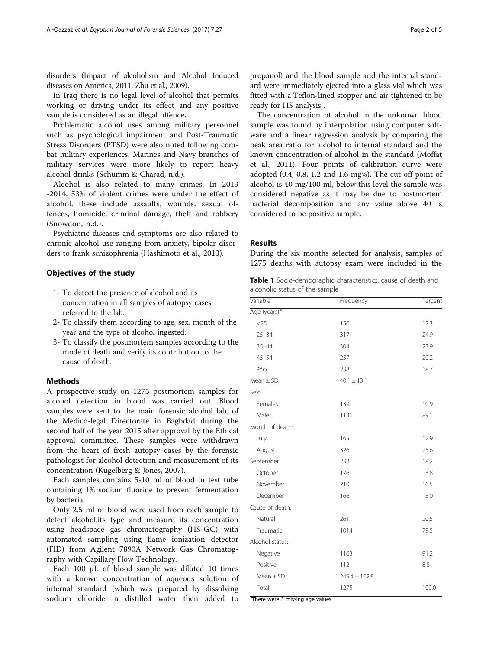<span id="page-1-0"></span>disorders (Impact of alcoholism and Alcohol Induced diseases on America, [2011;](#page-4-0) Zhu et al., [2009](#page-4-0)).

In Iraq there is no legal level of alcohol that permits working or driving under its effect and any positive sample is considered as an illegal offence.

Problematic alcohol uses among military personnel such as psychological impairment and Post-Traumatic Stress Disorders (PTSD) were also noted following combat military experiences. Marines and Navy branches of military services were more likely to report heavy alcohol drinks (Schumm & Charad, [n.d.](#page-4-0)).

Alcohol is also related to many crimes. In 2013 -2014, 53% of violent crimes were under the effect of alcohol, these include assaults, wounds, sexual offences, homicide, criminal damage, theft and robbery (Snowdon, [n.d.](#page-4-0)).

Psychiatric diseases and symptoms are also related to chronic alcohol use ranging from anxiety, bipolar disorders to frank schizophrenia (Hashimoto et al., [2013](#page-4-0)).

## Objectives of the study

- 1- To detect the presence of alcohol and its concentration in all samples of autopsy cases referred to the lab.
- 2- To classify them according to age, sex, month of the year and the type of alcohol ingested.
- 3- To classify the postmortem samples according to the mode of death and verify its contribution to the cause of death.

## Methods

A prospective study on 1275 postmortem samples for alcohol detection in blood was carried out. Blood samples were sent to the main forensic alcohol lab. of the Medico-legal Directorate in Baghdad during the second half of the year 2015 after approval by the Ethical approval committee. These samples were withdrawn from the heart of fresh autopsy cases by the forensic pathologist for alcohol detection and measurement of its concentration (Kugelberg & Jones, [2007\)](#page-4-0).

Each samples contains 5-10 ml of blood in test tube containing 1% sodium fluoride to prevent fermentation by bacteria.

Only 2.5 ml of blood were used from each sample to detect alcohol,its type and measure its concentration using headspace gas chromatography (HS-GC) with automated sampling using flame ionization detector (FID) from Agilent 7890A Network Gas Chromatography with Capillary Flow Technology.

Each 100 μL of blood sample was diluted 10 times with a known concentration of aqueous solution of internal standard (which was prepared by dissolving sodium chloride in distilled water then added to

propanol) and the blood sample and the internal standard were immediately ejected into a glass vial which was fitted with a Teflon-lined stopper and air tightened to be ready for HS analysis .

The concentration of alcohol in the unknown blood sample was found by interpolation using computer software and a linear regression analysis by comparing the peak area ratio for alcohol to internal standard and the known concentration of alcohol in the standard (Moffat et al., [2011](#page-4-0)). Four points of calibration curve were adopted (0.4, 0.8, 1.2 and 1.6 mg%). The cut-off point of alcohol is 40 mg/100 ml, below this level the sample was considered negative as it may be due to postmortem bacterial decomposition and any value above 40 is considered to be positive sample.

## Results

During the six months selected for analysis, samples of 1275 deaths with autopsy exam were included in the

Table 1 Socio-demographic characteristics, cause of death and alcoholic status of the sample

| Variable                  | Frequency         | Percent |
|---------------------------|-------------------|---------|
| Age (years): <sup>a</sup> |                   |         |
| $<$ 25                    | 156               | 12.3    |
| $25 - 34$                 | 317               | 24.9    |
| $35 - 44$                 | 304               | 23.9    |
| $45 - 54$                 | 257               | 20.2    |
| $\geq 55$                 | 238               | 18.7    |
| $Mean \pm SD$             | $40.1 \pm 13.1$   |         |
| Sex:                      |                   |         |
| Females                   | 139               | 10.9    |
| Males                     | 1136              | 89.1    |
| Month of death:           |                   |         |
| July                      | 165               | 12.9    |
| August                    | 326               | 25.6    |
| September                 | 232               | 18.2    |
| October                   | 176               | 13.8    |
| November                  | 210               | 16.5    |
| December                  | 166               | 13.0    |
| Cause of death:           |                   |         |
| Natural                   | 261               | 20.5    |
| Traumatic                 | 1014              | 79.5    |
| Alcohol status:           |                   |         |
| Negative                  | 1163              | 91.2    |
| Positive                  | 112               | 8.8     |
| Mean $\pm$ SD             | $249.4 \pm 102.8$ |         |
| Total                     | 1275              | 100.0   |

<sup>a</sup>There were 3 missing age values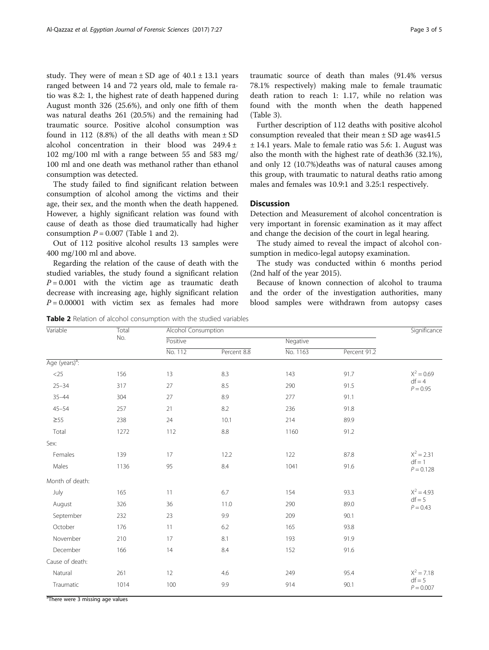study. They were of mean  $\pm$  SD age of 40.1  $\pm$  13.1 years ranged between 14 and 72 years old, male to female ratio was 8.2: 1, the highest rate of death happened during August month 326 (25.6%), and only one fifth of them was natural deaths 261 (20.5%) and the remaining had traumatic source. Positive alcohol consumption was found in 112 (8.8%) of the all deaths with mean  $\pm$  SD alcohol concentration in their blood was 249.4 ± 102 mg/100 ml with a range between 55 and 583 mg/ 100 ml and one death was methanol rather than ethanol consumption was detected.

The study failed to find significant relation between consumption of alcohol among the victims and their age, their sex, and the month when the death happened. However, a highly significant relation was found with cause of death as those died traumatically had higher consumption  $P = 0.007$  (Table [1](#page-1-0) and 2).

Out of 112 positive alcohol results 13 samples were 400 mg/100 ml and above.

Regarding the relation of the cause of death with the studied variables, the study found a significant relation  $P = 0.001$  with the victim age as traumatic death decrease with increasing age, highly significant relation  $P = 0.00001$  with victim sex as females had more traumatic source of death than males (91.4% versus 78.1% respectively) making male to female traumatic death ration to reach 1: 1.17, while no relation was found with the month when the death happened (Table [3\)](#page-3-0).

Further description of 112 deaths with positive alcohol consumption revealed that their mean  $\pm$  SD age was41.5 ± 14.1 years. Male to female ratio was 5.6: 1. August was also the month with the highest rate of death36 (32.1%), and only 12 (10.7%)deaths was of natural causes among this group, with traumatic to natural deaths ratio among males and females was 10.9:1 and 3.25:1 respectively.

## **Discussion**

Detection and Measurement of alcohol concentration is very important in forensic examination as it may affect and change the decision of the court in legal hearing.

The study aimed to reveal the impact of alcohol consumption in medico-legal autopsy examination.

The study was conducted within 6 months period (2nd half of the year 2015).

Because of known connection of alcohol to trauma and the order of the investigation authorities, many blood samples were withdrawn from autopsy cases

Table 2 Relation of alcohol consumption with the studied variables

| Variable                   | Total | <b>Alcohol Consumption</b> |             |          |              | Significance                            |
|----------------------------|-------|----------------------------|-------------|----------|--------------|-----------------------------------------|
|                            | No.   | Positive                   |             | Negative |              |                                         |
|                            |       | No. 112                    | Percent 8.8 | No. 1163 | Percent 91.2 |                                         |
| Age (years) <sup>a</sup> : |       |                            |             |          |              |                                         |
| $<$ 25                     | 156   | 13                         | 8.3         | 143      | 91.7         | $X^2 = 0.69$<br>$df = 4$<br>$P = 0.95$  |
| $25 - 34$                  | 317   | 27                         | 8.5         | 290      | 91.5         |                                         |
| $35 - 44$                  | 304   | 27                         | 8.9         | 277      | 91.1         |                                         |
| $45 - 54$                  | 257   | 21                         | 8.2         | 236      | 91.8         |                                         |
| $\geq 55$                  | 238   | 24                         | 10.1        | 214      | 89.9         |                                         |
| Total                      | 1272  | 112                        | $8.8\,$     | 1160     | 91.2         |                                         |
| Sex:                       |       |                            |             |          |              |                                         |
| Females                    | 139   | 17                         | 12.2        | 122      | 87.8         | $X^2 = 2.31$<br>$df = 1$<br>$P = 0.128$ |
| Males                      | 1136  | 95                         | 8.4         | 1041     | 91.6         |                                         |
| Month of death:            |       |                            |             |          |              |                                         |
| July                       | 165   | 11                         | 6.7         | 154      | 93.3         | $X^2 = 4.93$<br>$df = 5$<br>$P = 0.43$  |
| August                     | 326   | 36                         | 11.0        | 290      | 89.0         |                                         |
| September                  | 232   | 23                         | 9.9         | 209      | 90.1         |                                         |
| October                    | 176   | 11                         | 6.2         | 165      | 93.8         |                                         |
| November                   | 210   | 17                         | 8.1         | 193      | 91.9         |                                         |
| December                   | 166   | 14                         | 8.4         | 152      | 91.6         |                                         |
| Cause of death:            |       |                            |             |          |              |                                         |
| Natural                    | 261   | 12                         | 4.6         | 249      | 95.4         | $X^2 = 7.18$<br>$df = 5$<br>$P = 0.007$ |
| Traumatic                  | 1014  | 100                        | 9.9         | 914      | 90.1         |                                         |

<sup>a</sup>There were 3 missing age values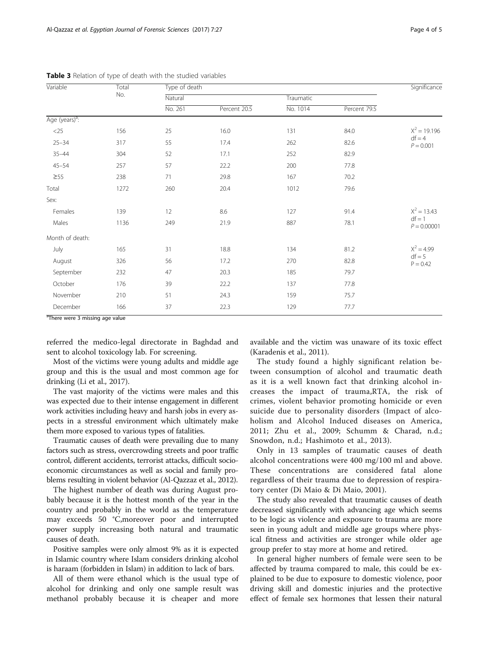| Variable                   | Total | Type of death |              |           |              | Significance                               |
|----------------------------|-------|---------------|--------------|-----------|--------------|--------------------------------------------|
|                            | No.   | Natural       |              | Traumatic |              |                                            |
|                            |       | No. 261       | Percent 20.5 | No. 1014  | Percent 79.5 |                                            |
| Age (years) <sup>a</sup> : |       |               |              |           |              |                                            |
| $<$ 25                     | 156   | 25            | 16.0         | 131       | 84.0         | $X^2 = 19.196$<br>$df = 4$<br>$P = 0.001$  |
| $25 - 34$                  | 317   | 55            | 17.4         | 262       | 82.6         |                                            |
| $35 - 44$                  | 304   | 52            | 17.1         | 252       | 82.9         |                                            |
| $45 - 54$                  | 257   | 57            | 22.2         | 200       | 77.8         |                                            |
| $\geq 55$                  | 238   | 71            | 29.8         | 167       | 70.2         |                                            |
| Total                      | 1272  | 260           | 20.4         | 1012      | 79.6         |                                            |
| Sex:                       |       |               |              |           |              |                                            |
| Females                    | 139   | 12            | 8.6          | 127       | 91.4         | $X^2 = 13.43$<br>$df = 1$<br>$P = 0.00001$ |
| Males                      | 1136  | 249           | 21.9         | 887       | 78.1         |                                            |
| Month of death:            |       |               |              |           |              |                                            |
| July                       | 165   | 31            | 18.8         | 134       | 81.2         | $X^2 = 4.99$<br>$df = 5$<br>$P = 0.42$     |
| August                     | 326   | 56            | 17.2         | 270       | 82.8         |                                            |
| September                  | 232   | 47            | 20.3         | 185       | 79.7         |                                            |
| October                    | 176   | 39            | 22.2         | 137       | 77.8         |                                            |
| November                   | 210   | 51            | 24.3         | 159       | 75.7         |                                            |
| December                   | 166   | 37            | 22.3         | 129       | 77.7         |                                            |

<span id="page-3-0"></span>Table 3 Relation of type of death with the studied variables

<sup>a</sup>There were 3 missing age value

referred the medico-legal directorate in Baghdad and sent to alcohol toxicology lab. For screening.

Most of the victims were young adults and middle age group and this is the usual and most common age for drinking (Li et al., [2017\)](#page-4-0).

The vast majority of the victims were males and this was expected due to their intense engagement in different work activities including heavy and harsh jobs in every aspects in a stressful environment which ultimately make them more exposed to various types of fatalities.

Traumatic causes of death were prevailing due to many factors such as stress, overcrowding streets and poor traffic control, different accidents, terrorist attacks, difficult socioeconomic circumstances as well as social and family problems resulting in violent behavior (Al-Qazzaz et al., [2012\)](#page-4-0).

The highest number of death was during August probably because it is the hottest month of the year in the country and probably in the world as the temperature may exceeds 50 °C,moreover poor and interrupted power supply increasing both natural and traumatic causes of death.

Positive samples were only almost 9% as it is expected in Islamic country where Islam considers drinking alcohol is haraam (forbidden in Islam) in addition to lack of bars.

All of them were ethanol which is the usual type of alcohol for drinking and only one sample result was methanol probably because it is cheaper and more available and the victim was unaware of its toxic effect (Karadenis et al., [2011\)](#page-4-0).

The study found a highly significant relation between consumption of alcohol and traumatic death as it is a well known fact that drinking alcohol increases the impact of trauma,RTA, the risk of crimes, violent behavior promoting homicide or even suicide due to personality disorders (Impact of alcoholism and Alcohol Induced diseases on America, [2011](#page-4-0); Zhu et al., [2009;](#page-4-0) Schumm & Charad, [n.d.](#page-4-0); Snowdon, [n.d.](#page-4-0); Hashimoto et al., [2013\)](#page-4-0).

Only in 13 samples of traumatic causes of death alcohol concentrations were 400 mg/100 ml and above. These concentrations are considered fatal alone regardless of their trauma due to depression of respiratory center (Di Maio & Di Maio, [2001](#page-4-0)).

The study also revealed that traumatic causes of death decreased significantly with advancing age which seems to be logic as violence and exposure to trauma are more seen in young adult and middle age groups where physical fitness and activities are stronger while older age group prefer to stay more at home and retired.

In general higher numbers of female were seen to be affected by trauma compared to male, this could be explained to be due to exposure to domestic violence, poor driving skill and domestic injuries and the protective effect of female sex hormones that lessen their natural